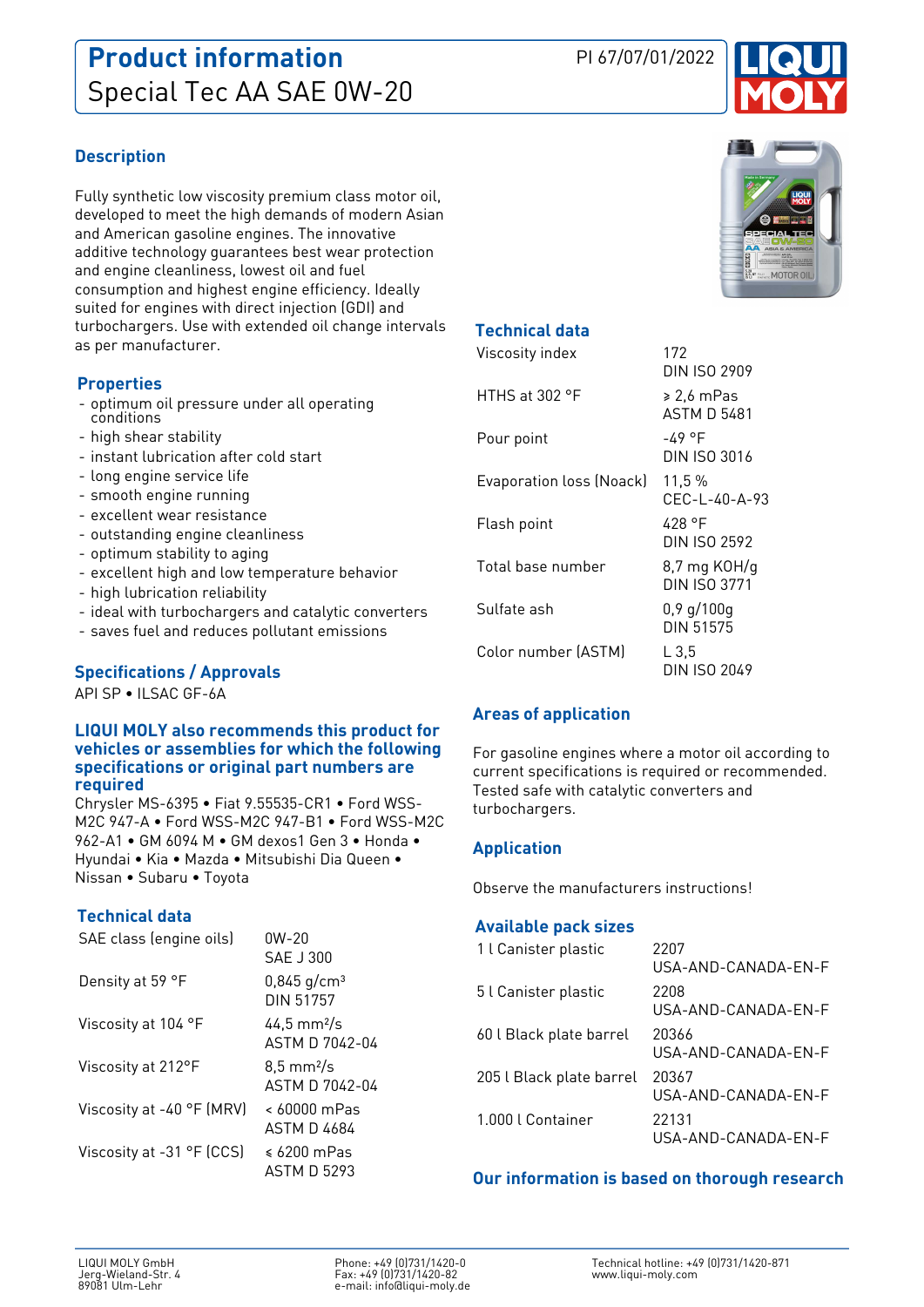

# **Description**

Fully synthetic low viscosity premium class motor oil, developed to meet the high demands of modern Asian and American gasoline engines. The innovative additive technology guarantees best wear protection and engine cleanliness, lowest oil and fuel consumption and highest engine efficiency. Ideally suited for engines with direct injection (GDI) and turbochargers. Use with extended oil change intervals as per manufacturer.

## **Properties**

- optimum oil pressure under all operating conditions
- high shear stability
- instant lubrication after cold start
- long engine service life
- smooth engine running
- excellent wear resistance
- outstanding engine cleanliness
- optimum stability to aging
- excellent high and low temperature behavior
- high lubrication reliability
- ideal with turbochargers and catalytic converters
- saves fuel and reduces pollutant emissions

# **Specifications / Approvals**

API SP • ILSAC GF-6A

#### **LIQUI MOLY also recommends this product for vehicles or assemblies for which the following specifications or original part numbers are required**

Chrysler MS-6395 • Fiat 9.55535-CR1 • Ford WSS-M2C 947-A • Ford WSS-M2C 947-B1 • Ford WSS-M2C 962-A1 • GM 6094 M • GM dexos1 Gen 3 • Honda • Hyundai • Kia • Mazda • Mitsubishi Dia Queen • Nissan • Subaru • Toyota

# **Technical data**

| SAE class (engine oils)   | 0W-20<br><b>SAE J 300</b>                      |
|---------------------------|------------------------------------------------|
| Density at 59 °F          | $0,845$ g/cm <sup>3</sup><br>DIN 51757         |
| Viscosity at 104 °F       | $44.5 \text{ mm}^2/\text{s}$<br>ASTM D 7042-04 |
| Viscosity at 212°F        | $8.5 \text{ mm}^2/\text{s}$<br>ASTM D 7042-04  |
| Viscosity at -40 °F (MRV) | $< 60000$ mPas<br>ASTM D 4684                  |
| Viscosity at -31 °F (CCS) | $\leq 6200$ mPas<br>ASTM D 5293                |



# **Technical data**

| 172                       |
|---------------------------|
| <b>DIN ISO 2909</b>       |
| ≥ 2.6 mPas<br>ASTM D 5481 |
| -49 °F                    |
| DIN ISO 3016              |
| 11,5%                     |
| CEC-L-40-A-93             |
| 428 °F                    |
| DIN ISO 2592              |
| 8,7 mg KOH/g              |
| DIN ISO 3771              |
| $0,9$ q/100q              |
| DIN 51575                 |
| L3,5                      |
| DIN ISO 2049              |
|                           |

# **Areas of application**

For gasoline engines where a motor oil according to current specifications is required or recommended. Tested safe with catalytic converters and turbochargers.

# **Application**

Observe the manufacturers instructions!

# **Available pack sizes**

| 1 l Canister plastic     | 2207<br>USA-AND-CANADA-EN-F  |
|--------------------------|------------------------------|
| 5 l Canister plastic     | 2208<br>USA-AND-CANADA-FN-F  |
| 60 l Black plate barrel  | 20366<br>USA-AND-CANADA-FN-F |
| 205 l Black plate barrel | 20367<br>USA-AND-CANADA-FN-F |
| 1.000 L Container        | 22131<br>USA-AND-CANADA-EN-F |

### **Our information is based on thorough research**